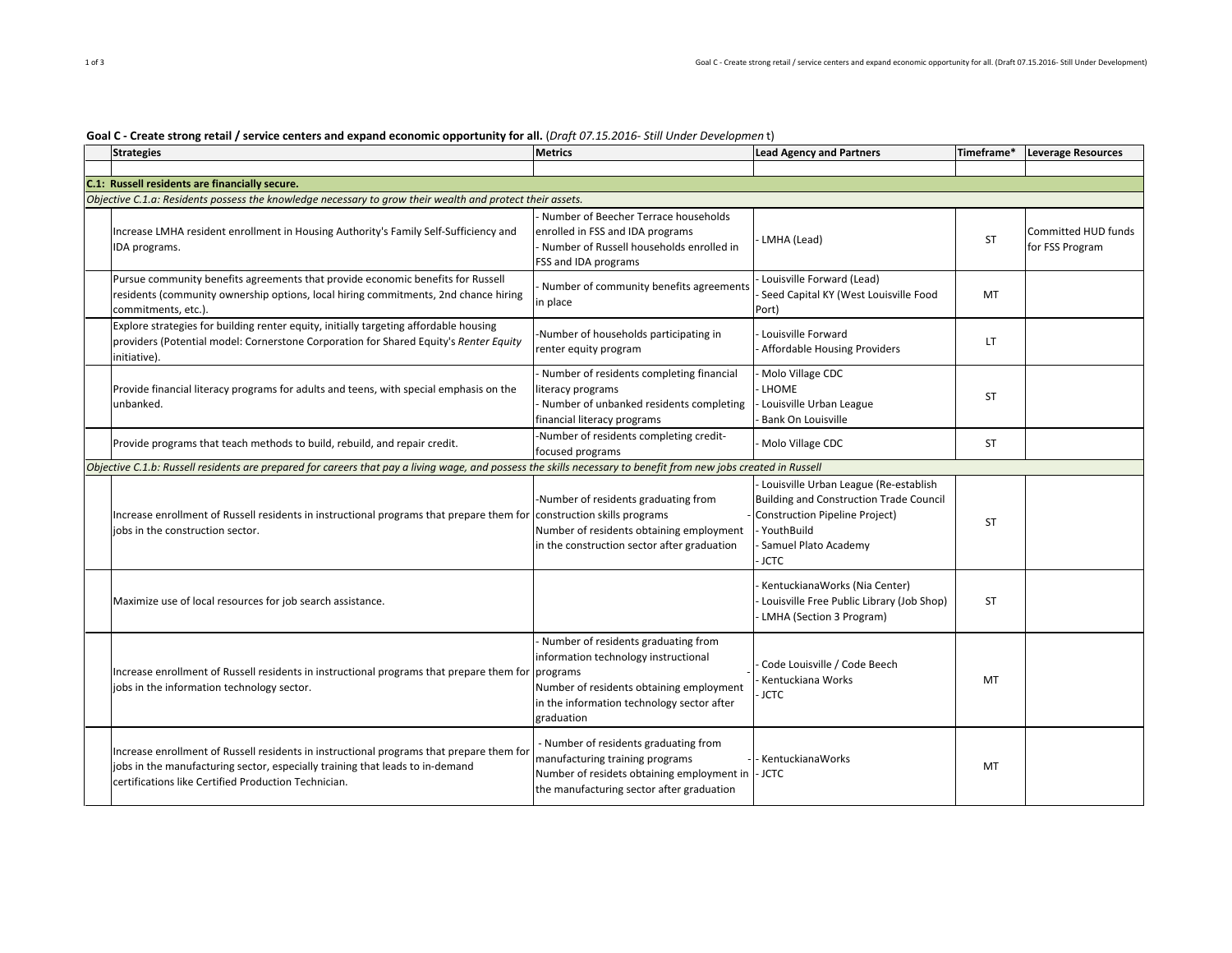## Goal C - Create strong retail / service centers and expand economic opportunity for all. (Draft 07.15.2016- Still Under Developmen t)

| <b>Strategies</b>                                                                                                                                                                                                                 | <b>Metrics</b>                                                                                                                                                                      | <b>Lead Agency and Partners</b>                                                                                                                                                         | Timeframe* | <b>Leverage Resources</b>                     |  |  |
|-----------------------------------------------------------------------------------------------------------------------------------------------------------------------------------------------------------------------------------|-------------------------------------------------------------------------------------------------------------------------------------------------------------------------------------|-----------------------------------------------------------------------------------------------------------------------------------------------------------------------------------------|------------|-----------------------------------------------|--|--|
|                                                                                                                                                                                                                                   |                                                                                                                                                                                     |                                                                                                                                                                                         |            |                                               |  |  |
| C.1: Russell residents are financially secure.                                                                                                                                                                                    |                                                                                                                                                                                     |                                                                                                                                                                                         |            |                                               |  |  |
| Objective C.1.a: Residents possess the knowledge necessary to grow their wealth and protect their assets.                                                                                                                         |                                                                                                                                                                                     |                                                                                                                                                                                         |            |                                               |  |  |
| Increase LMHA resident enrollment in Housing Authority's Family Self-Sufficiency and<br>IDA programs.                                                                                                                             | Number of Beecher Terrace households<br>enrolled in FSS and IDA programs<br>Number of Russell households enrolled in<br>FSS and IDA programs                                        | LMHA (Lead)                                                                                                                                                                             | <b>ST</b>  | <b>Committed HUD funds</b><br>for FSS Program |  |  |
| Pursue community benefits agreements that provide economic benefits for Russell<br>residents (community ownership options, local hiring commitments, 2nd chance hiring<br>commitments, etc.).                                     | Number of community benefits agreements<br>in place                                                                                                                                 | Louisville Forward (Lead)<br>Seed Capital KY (West Louisville Food<br>Port)                                                                                                             | MT         |                                               |  |  |
| Explore strategies for building renter equity, initially targeting affordable housing<br>providers (Potential model: Cornerstone Corporation for Shared Equity's Renter Equity<br>initiative).                                    | -Number of households participating in<br>renter equity program                                                                                                                     | Louisville Forward<br>Affordable Housing Providers                                                                                                                                      | LT.        |                                               |  |  |
| Provide financial literacy programs for adults and teens, with special emphasis on the<br>unbanked.                                                                                                                               | Number of residents completing financial<br>literacy programs<br>Number of unbanked residents completing<br>financial literacy programs                                             | Molo Village CDC<br><b>LHOME</b><br>Louisville Urban League<br><b>Bank On Louisville</b>                                                                                                | <b>ST</b>  |                                               |  |  |
| Provide programs that teach methods to build, rebuild, and repair credit.                                                                                                                                                         | -Number of residents completing credit-<br>focused programs                                                                                                                         | Molo Village CDC                                                                                                                                                                        | ST         |                                               |  |  |
| Objective C.1.b: Russell residents are prepared for careers that pay a living wage, and possess the skills necessary to benefit from new jobs created in Russell                                                                  |                                                                                                                                                                                     |                                                                                                                                                                                         |            |                                               |  |  |
| Increase enrollment of Russell residents in instructional programs that prepare them for construction skills programs<br>jobs in the construction sector.                                                                         | -Number of residents graduating from<br>Number of residents obtaining employment<br>in the construction sector after graduation                                                     | - Louisville Urban League (Re-establish<br><b>Building and Construction Trade Council</b><br><b>Construction Pipeline Project)</b><br>YouthBuild<br>Samuel Plato Academy<br><b>JCTC</b> | <b>ST</b>  |                                               |  |  |
| Maximize use of local resources for job search assistance.                                                                                                                                                                        |                                                                                                                                                                                     | KentuckianaWorks (Nia Center)<br>Louisville Free Public Library (Job Shop)<br>LMHA (Section 3 Program)                                                                                  | <b>ST</b>  |                                               |  |  |
| Increase enrollment of Russell residents in instructional programs that prepare them for programs<br>jobs in the information technology sector.                                                                                   | Number of residents graduating from<br>information technology instructional<br>Number of residents obtaining employment<br>in the information technology sector after<br>graduation | Code Louisville / Code Beech<br>Kentuckiana Works<br><b>JCTC</b>                                                                                                                        | MT         |                                               |  |  |
| Increase enrollment of Russell residents in instructional programs that prepare them for<br>jobs in the manufacturing sector, especially training that leads to in-demand<br>certifications like Certified Production Technician. | Number of residents graduating from<br>manufacturing training programs<br>Number of residets obtaining employment in<br>the manufacturing sector after graduation                   | Kentuckiana Works<br>JCTC                                                                                                                                                               | MT         |                                               |  |  |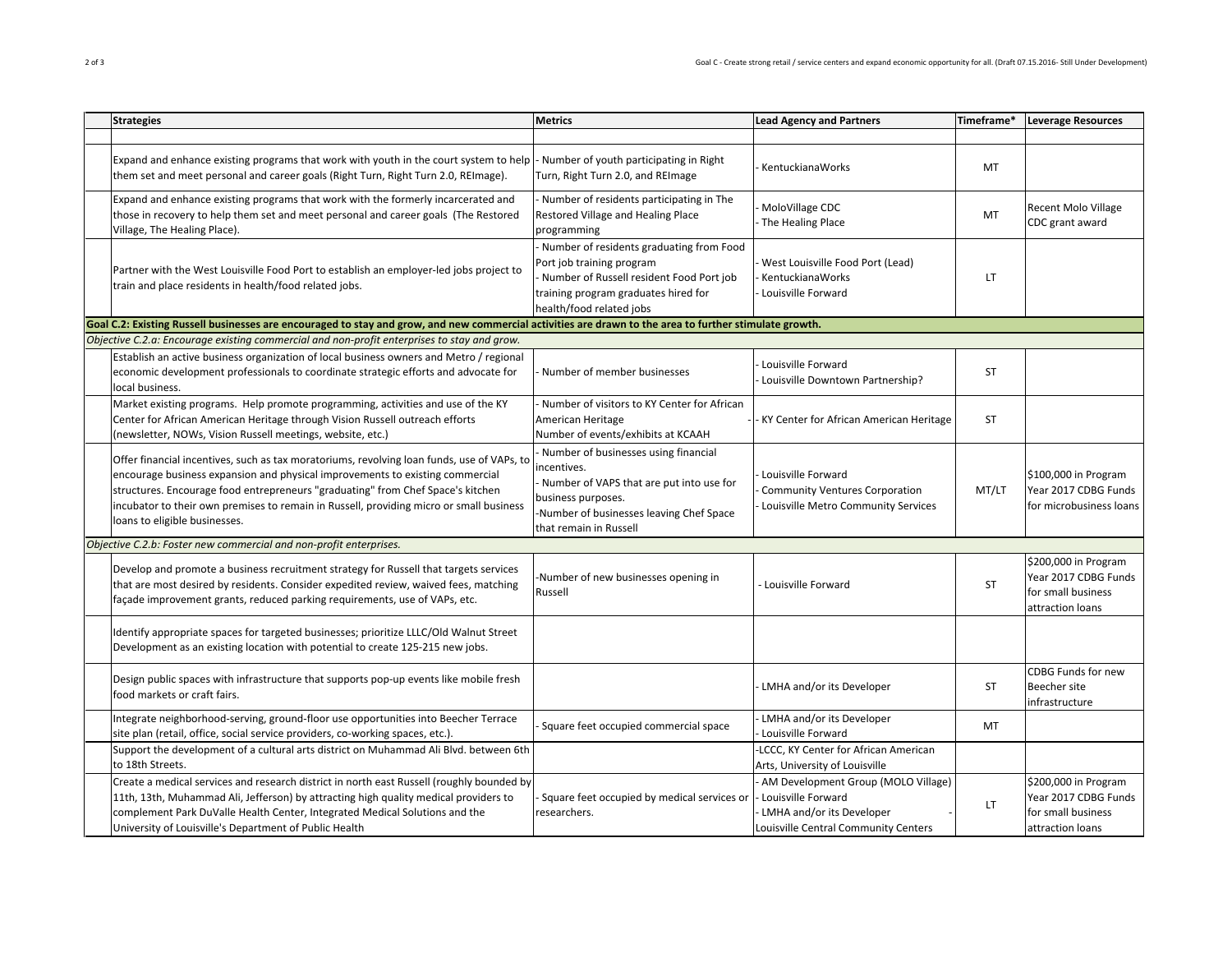| <b>Strategies</b>                                                                                                                                                                                                                                                                                                                                                                          | <b>Metrics</b>                                                                                                                                                                             | <b>Lead Agency and Partners</b>                                                                                                | Timeframe* | <b>Leverage Resources</b>                                                              |
|--------------------------------------------------------------------------------------------------------------------------------------------------------------------------------------------------------------------------------------------------------------------------------------------------------------------------------------------------------------------------------------------|--------------------------------------------------------------------------------------------------------------------------------------------------------------------------------------------|--------------------------------------------------------------------------------------------------------------------------------|------------|----------------------------------------------------------------------------------------|
|                                                                                                                                                                                                                                                                                                                                                                                            |                                                                                                                                                                                            |                                                                                                                                |            |                                                                                        |
| Expand and enhance existing programs that work with youth in the court system to help  - Number of youth participating in Right<br>them set and meet personal and career goals (Right Turn, Right Turn 2.0, REImage).                                                                                                                                                                      | Turn, Right Turn 2.0, and REImage                                                                                                                                                          | KentuckianaWorks                                                                                                               | MT         |                                                                                        |
| Expand and enhance existing programs that work with the formerly incarcerated and<br>those in recovery to help them set and meet personal and career goals (The Restored<br>Village, The Healing Place).                                                                                                                                                                                   | Number of residents participating in The<br>Restored Village and Healing Place<br>programming                                                                                              | MoloVillage CDC<br>The Healing Place                                                                                           | MT         | Recent Molo Village<br>CDC grant award                                                 |
| Partner with the West Louisville Food Port to establish an employer-led jobs project to<br>train and place residents in health/food related jobs.                                                                                                                                                                                                                                          | Number of residents graduating from Food<br>Port job training program<br>Number of Russell resident Food Port job<br>training program graduates hired for<br>health/food related jobs      | West Louisville Food Port (Lead)<br>KentuckianaWorks<br>Louisville Forward                                                     | LT         |                                                                                        |
| Goal C.2: Existing Russell businesses are encouraged to stay and grow, and new commercial activities are drawn to the area to further stimulate growth.                                                                                                                                                                                                                                    |                                                                                                                                                                                            |                                                                                                                                |            |                                                                                        |
| Objective C.2.a: Encourage existing commercial and non-profit enterprises to stay and grow.                                                                                                                                                                                                                                                                                                |                                                                                                                                                                                            |                                                                                                                                |            |                                                                                        |
| Establish an active business organization of local business owners and Metro / regional<br>economic development professionals to coordinate strategic efforts and advocate for<br>local business.                                                                                                                                                                                          | Number of member businesses                                                                                                                                                                | Louisville Forward<br>Louisville Downtown Partnership?                                                                         | <b>ST</b>  |                                                                                        |
| Market existing programs. Help promote programming, activities and use of the KY<br>Center for African American Heritage through Vision Russell outreach efforts<br>(newsletter, NOWs, Vision Russell meetings, website, etc.)                                                                                                                                                             | Number of visitors to KY Center for African<br>American Heritage<br>Number of events/exhibits at KCAAH                                                                                     | KY Center for African American Heritage                                                                                        | <b>ST</b>  |                                                                                        |
| Offer financial incentives, such as tax moratoriums, revolving loan funds, use of VAPs, to<br>encourage business expansion and physical improvements to existing commercial<br>structures. Encourage food entrepreneurs "graduating" from Chef Space's kitchen<br>incubator to their own premises to remain in Russell, providing micro or small business<br>loans to eligible businesses. | Number of businesses using financial<br>ncentives.<br>Number of VAPS that are put into use for<br>business purposes.<br>-Number of businesses leaving Chef Space<br>that remain in Russell | Louisville Forward<br><b>Community Ventures Corporation</b><br>Louisville Metro Community Services                             | MT/LT      | \$100,000 in Program<br>Year 2017 CDBG Funds<br>for microbusiness loans                |
| Objective C.2.b: Foster new commercial and non-profit enterprises.                                                                                                                                                                                                                                                                                                                         |                                                                                                                                                                                            |                                                                                                                                |            |                                                                                        |
| Develop and promote a business recruitment strategy for Russell that targets services<br>that are most desired by residents. Consider expedited review, waived fees, matching<br>façade improvement grants, reduced parking requirements, use of VAPs, etc.                                                                                                                                | Number of new businesses opening in<br>Russell                                                                                                                                             | Louisville Forward                                                                                                             | ST         | \$200,000 in Program<br>Year 2017 CDBG Funds<br>for small business<br>attraction loans |
| Identify appropriate spaces for targeted businesses; prioritize LLLC/Old Walnut Street<br>Development as an existing location with potential to create 125-215 new jobs.                                                                                                                                                                                                                   |                                                                                                                                                                                            |                                                                                                                                |            |                                                                                        |
| Design public spaces with infrastructure that supports pop-up events like mobile fresh<br>food markets or craft fairs.                                                                                                                                                                                                                                                                     |                                                                                                                                                                                            | LMHA and/or its Developer                                                                                                      | ST         | CDBG Funds for new<br>Beecher site<br>infrastructure                                   |
| Integrate neighborhood-serving, ground-floor use opportunities into Beecher Terrace<br>site plan (retail, office, social service providers, co-working spaces, etc.).                                                                                                                                                                                                                      | Square feet occupied commercial space                                                                                                                                                      | LMHA and/or its Developer<br>Louisville Forward                                                                                | <b>MT</b>  |                                                                                        |
| Support the development of a cultural arts district on Muhammad Ali Blvd. between 6th<br>to 18th Streets.                                                                                                                                                                                                                                                                                  |                                                                                                                                                                                            | LCCC, KY Center for African American<br>Arts, University of Louisville                                                         |            |                                                                                        |
| Create a medical services and research district in north east Russell (roughly bounded by<br>11th, 13th, Muhammad Ali, Jefferson) by attracting high quality medical providers to<br>complement Park DuValle Health Center, Integrated Medical Solutions and the<br>University of Louisville's Department of Public Health                                                                 | Square feet occupied by medical services or<br>researchers.                                                                                                                                | AM Development Group (MOLO Village)<br>Louisville Forward<br>LMHA and/or its Developer<br>Louisville Central Community Centers | LT         | \$200,000 in Program<br>Year 2017 CDBG Funds<br>for small business<br>attraction loans |